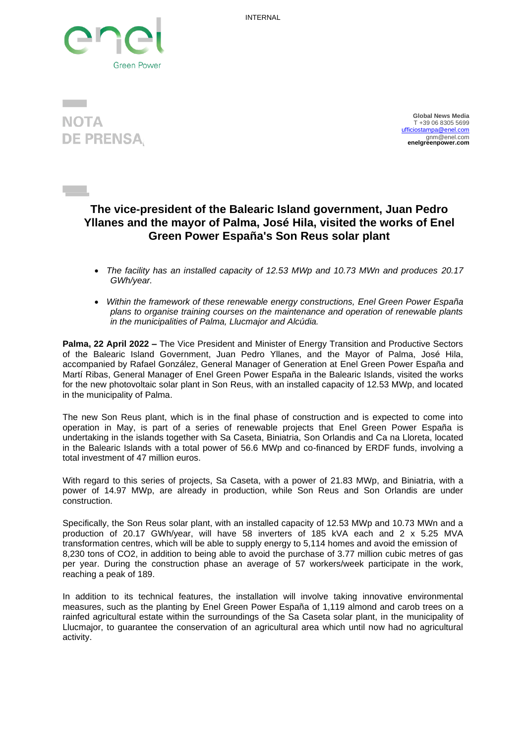INTERNAL



**NOTA DE PRENSA** 

 **Global News Media** T +39 06 8305 5699 [ufficiostampa@enel.com](mailto:ufficiostampa@enel.com) gnm@enel.com **enelgreenpower.com** 

## **The vice-president of the Balearic Island government, Juan Pedro Yllanes and the mayor of Palma, José Hila, visited the works of Enel Green Power España's Son Reus solar plant**

- *The facility has an installed capacity of 12.53 MWp and 10.73 MWn and produces 20.17 GWh/year.*
- *Within the framework of these renewable energy constructions, Enel Green Power España plans to organise training courses on the maintenance and operation of renewable plants in the municipalities of Palma, Llucmajor and Alcúdia.*

**Palma, 22 April 2022 –** The Vice President and Minister of Energy Transition and Productive Sectors of the Balearic Island Government, Juan Pedro Yllanes, and the Mayor of Palma, José Hila, accompanied by Rafael González, General Manager of Generation at Enel Green Power España and Martí Ribas, General Manager of Enel Green Power España in the Balearic Islands, visited the works for the new photovoltaic solar plant in Son Reus, with an installed capacity of 12.53 MWp, and located in the municipality of Palma.

The new Son Reus plant, which is in the final phase of construction and is expected to come into operation in May, is part of a series of renewable projects that Enel Green Power España is undertaking in the islands together with Sa Caseta, Biniatria, Son Orlandis and Ca na Lloreta, located in the Balearic Islands with a total power of 56.6 MWp and co-financed by ERDF funds, involving a total investment of 47 million euros.

With regard to this series of projects, Sa Caseta, with a power of 21.83 MWp, and Biniatria, with a power of 14.97 MWp, are already in production, while Son Reus and Son Orlandis are under construction.

Specifically, the Son Reus solar plant, with an installed capacity of 12.53 MWp and 10.73 MWn and a production of 20.17 GWh/year, will have 58 inverters of 185 kVA each and 2 x 5.25 MVA transformation centres, which will be able to supply energy to 5,114 homes and avoid the emission of 8,230 tons of CO2, in addition to being able to avoid the purchase of 3.77 million cubic metres of gas per year. During the construction phase an average of 57 workers/week participate in the work, reaching a peak of 189.

In addition to its technical features, the installation will involve taking innovative environmental measures, such as the planting by Enel Green Power España of 1,119 almond and carob trees on a rainfed agricultural estate within the surroundings of the Sa Caseta solar plant, in the municipality of Llucmajor, to guarantee the conservation of an agricultural area which until now had no agricultural activity.